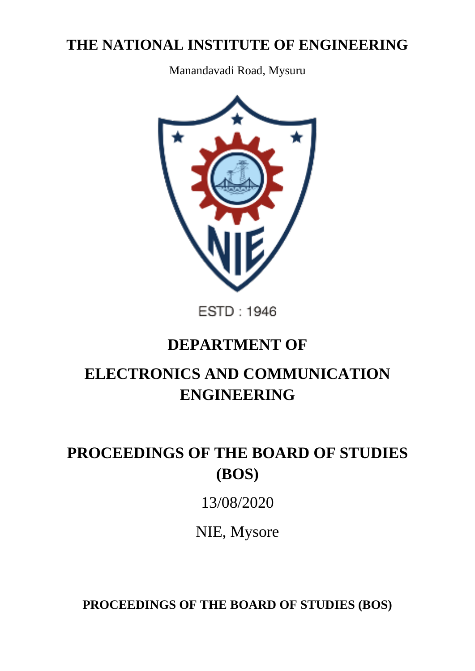# **THE NATIONAL INSTITUTE OF ENGINEERING**

Manandavadi Road, Mysuru



ESTD: 1946

# **DEPARTMENT OF**

# **ELECTRONICS AND COMMUNICATION ENGINEERING**

# **PROCEEDINGS OF THE BOARD OF STUDIES (BOS)**

# 13/08/2020

NIE, Mysore

**PROCEEDINGS OF THE BOARD OF STUDIES (BOS)**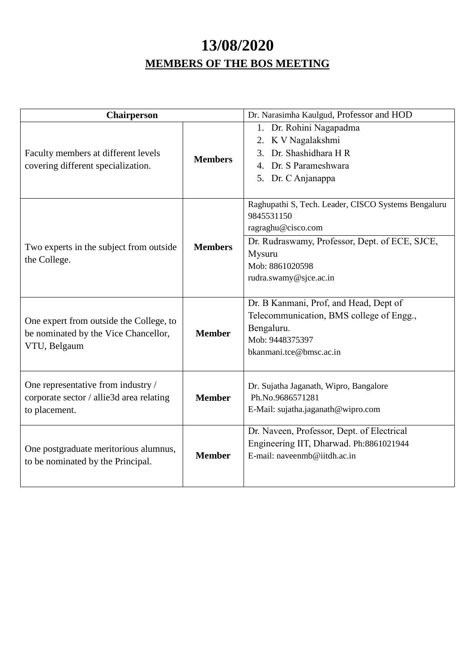# **13/08/2020 MEMBERS OF THE BOS MEETING**

| <b>Chairperson</b>                                                                              |                | Dr. Narasimha Kaulgud, Professor and HOD                                                                                                                                                         |  |  |
|-------------------------------------------------------------------------------------------------|----------------|--------------------------------------------------------------------------------------------------------------------------------------------------------------------------------------------------|--|--|
| Faculty members at different levels<br>covering different specialization.                       | <b>Members</b> | 1. Dr. Rohini Nagapadma<br>2. K V Nagalakshmi<br>Dr. Shashidhara H R<br>3.<br>4. Dr. S Parameshwara<br>5. Dr. C Anjanappa                                                                        |  |  |
| Two experts in the subject from outside<br>the College.                                         | <b>Members</b> | Raghupathi S, Tech. Leader, CISCO Systems Bengaluru<br>9845531150<br>ragraghu@cisco.com<br>Dr. Rudraswamy, Professor, Dept. of ECE, SJCE,<br>Mysuru<br>Mob: 8861020598<br>rudra.swamy@sjce.ac.in |  |  |
| One expert from outside the College, to<br>be nominated by the Vice Chancellor,<br>VTU, Belgaum | <b>Member</b>  | Dr. B Kanmani, Prof, and Head, Dept of<br>Telecommunication, BMS college of Engg.,<br>Bengaluru.<br>Mob: 9448375397<br>bkanmani.tce@bmsc.ac.in                                                   |  |  |
| One representative from industry /<br>corporate sector / allie3d area relating<br>to placement. | <b>Member</b>  | Dr. Sujatha Jaganath, Wipro, Bangalore<br>Ph.No.9686571281<br>E-Mail: sujatha.jaganath@wipro.com                                                                                                 |  |  |
| One postgraduate meritorious alumnus,<br>to be nominated by the Principal.                      | <b>Member</b>  | Dr. Naveen, Professor, Dept. of Electrical<br>Engineering IIT, Dharwad. Ph:8861021944<br>E-mail: naveenmb@iitdh.ac.in                                                                            |  |  |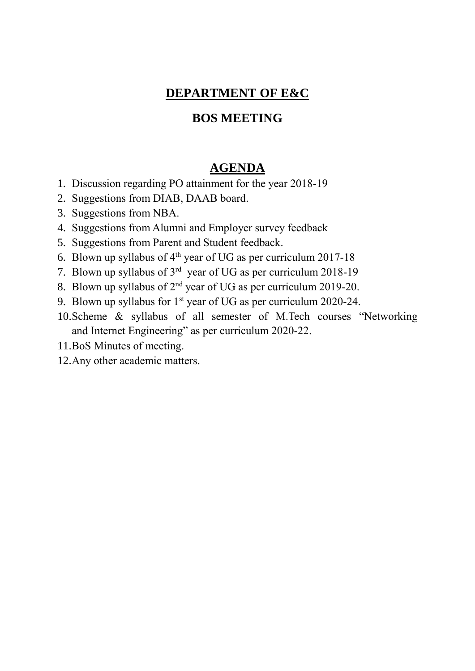# **DEPARTMENT OF E&C**

# **BOS MEETING**

# **AGENDA**

- 1. Discussion regarding PO attainment for the year 2018-19
- 2. Suggestions from DIAB, DAAB board.
- 3. Suggestions from NBA.
- 4. Suggestions from Alumni and Employer survey feedback
- 5. Suggestions from Parent and Student feedback.
- 6. Blown up syllabus of  $4<sup>th</sup>$  year of UG as per curriculum 2017-18
- 7. Blown up syllabus of  $3<sup>rd</sup>$  year of UG as per curriculum 2018-19
- 8. Blown up syllabus of  $2<sup>nd</sup>$  year of UG as per curriculum 2019-20.
- 9. Blown up syllabus for  $1<sup>st</sup>$  year of UG as per curriculum 2020-24.
- 10.Scheme & syllabus of all semester of M.Tech courses "Networking and Internet Engineering" as per curriculum 2020-22.
- 11.BoS Minutes of meeting.
- 12.Any other academic matters.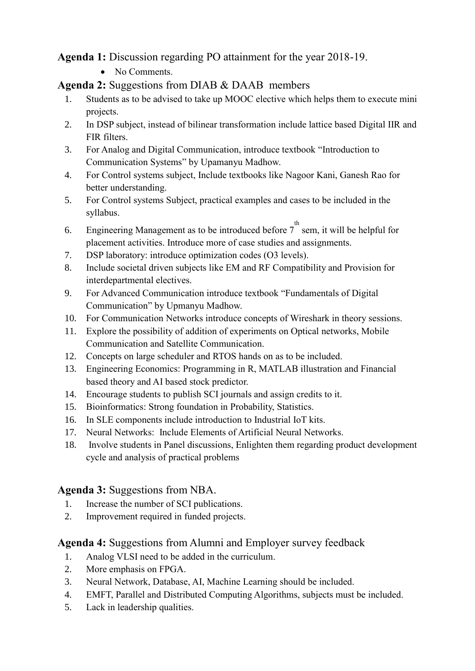# **Agenda 1:** Discussion regarding PO attainment for the year 2018-19.

• No Comments.

# **Agenda 2:** Suggestions from DIAB & DAAB members

- 1. Students as to be advised to take up MOOC elective which helps them to execute mini projects.
- 2. In DSP subject, instead of bilinear transformation include lattice based Digital IIR and FIR filters.
- 3. For Analog and Digital Communication, introduce textbook "Introduction to Communication Systems" by Upamanyu Madhow.
- 4. For Control systems subject, Include textbooks like Nagoor Kani, Ganesh Rao for better understanding.
- 5. For Control systems Subject, practical examples and cases to be included in the syllabus.
- 6. Engineering Management as to be introduced before  $7^{\text{th}}$  sem, it will be helpful for placement activities. Introduce more of case studies and assignments.
- 7. DSP laboratory: introduce optimization codes (O3 levels).
- 8. Include societal driven subjects like EM and RF Compatibility and Provision for interdepartmental electives.
- 9. For Advanced Communication introduce textbook "Fundamentals of Digital Communication" by Upmanyu Madhow.
- 10. For Communication Networks introduce concepts of Wireshark in theory sessions.
- 11. Explore the possibility of addition of experiments on Optical networks, Mobile Communication and Satellite Communication.
- 12. Concepts on large scheduler and RTOS hands on as to be included.
- 13. Engineering Economics: Programming in R, MATLAB illustration and Financial based theory and AI based stock predictor.
- 14. Encourage students to publish SCI journals and assign credits to it.
- 15. Bioinformatics: Strong foundation in Probability, Statistics.
- 16. In SLE components include introduction to Industrial IoT kits.
- 17. Neural Networks: Include Elements of Artificial Neural Networks.
- 18. Involve students in Panel discussions, Enlighten them regarding product development cycle and analysis of practical problems

# **Agenda 3:** Suggestions from NBA.

- 1. Increase the number of SCI publications.
- 2. Improvement required in funded projects.

# **Agenda 4:** Suggestions from Alumni and Employer survey feedback

- 1. Analog VLSI need to be added in the curriculum.
- 2. More emphasis on FPGA.
- 3. Neural Network, Database, AI, Machine Learning should be included.
- 4. EMFT, Parallel and Distributed Computing Algorithms, subjects must be included.
- 5. Lack in leadership qualities.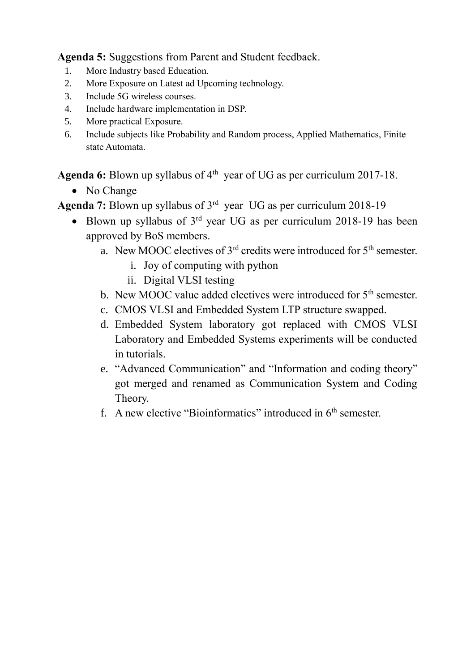**Agenda 5:** Suggestions from Parent and Student feedback.

- 1. More Industry based Education.
- 2. More Exposure on Latest ad Upcoming technology.
- 3. Include 5G wireless courses.
- 4. Include hardware implementation in DSP.
- 5. More practical Exposure.
- 6. Include subjects like Probability and Random process, Applied Mathematics, Finite state Automata.

Agenda 6: Blown up syllabus of 4<sup>th</sup> year of UG as per curriculum 2017-18.

• No Change

Agenda 7: Blown up syllabus of 3<sup>rd</sup> year UG as per curriculum 2018-19

- Blown up syllabus of  $3<sup>rd</sup>$  year UG as per curriculum 2018-19 has been approved by BoS members.
	- a. New MOOC electives of  $3<sup>rd</sup>$  credits were introduced for  $5<sup>th</sup>$  semester.
		- i. Joy of computing with python
		- ii. Digital VLSI testing
	- b. New MOOC value added electives were introduced for  $5<sup>th</sup>$  semester.
	- c. CMOS VLSI and Embedded System LTP structure swapped.
	- d. Embedded System laboratory got replaced with CMOS VLSI Laboratory and Embedded Systems experiments will be conducted in tutorials.
	- e. "Advanced Communication" and "Information and coding theory" got merged and renamed as Communication System and Coding Theory.
	- f. A new elective "Bioinformatics" introduced in  $6<sup>th</sup>$  semester.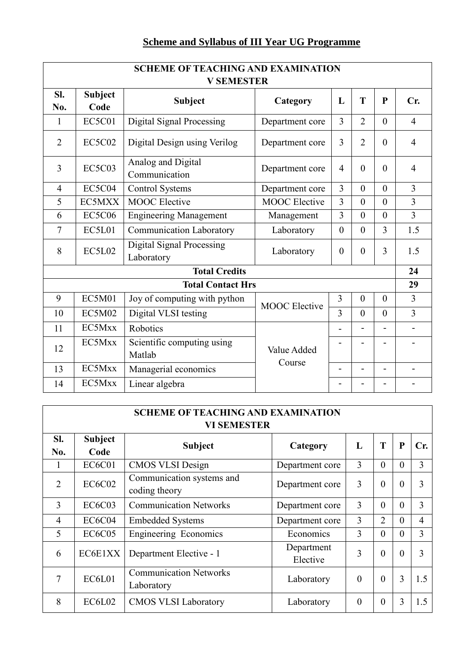# **Scheme and Syllabus of III Year UG Programme**

| <b>SCHEME OF TEACHING AND EXAMINATION</b><br><b>V SEMESTER</b> |                        |                                                |                      |                |                |                |                          |
|----------------------------------------------------------------|------------------------|------------------------------------------------|----------------------|----------------|----------------|----------------|--------------------------|
| SI.<br>No.                                                     | <b>Subject</b><br>Code | <b>Subject</b>                                 | Category             | L              | T              | $\mathbf{P}$   | Cr.                      |
| 1                                                              | <b>EC5C01</b>          | <b>Digital Signal Processing</b>               | Department core      | 3              | $\overline{2}$ | $\theta$       | $\overline{4}$           |
| $\overline{2}$                                                 | <b>EC5C02</b>          | Digital Design using Verilog                   | Department core      | 3              | $\overline{2}$ | $\overline{0}$ | $\overline{4}$           |
| 3                                                              | <b>EC5C03</b>          | Analog and Digital<br>Communication            | Department core      | $\overline{4}$ | $\theta$       | $\theta$       | $\overline{4}$           |
| $\overline{4}$                                                 | <b>EC5C04</b>          | <b>Control Systems</b>                         | Department core      | $\overline{3}$ | $\theta$       | $\theta$       | $\overline{3}$           |
| 5                                                              | EC5MXX                 | <b>MOOC</b> Elective                           | <b>MOOC</b> Elective | $\overline{3}$ | $\overline{0}$ | $\theta$       | $\overline{3}$           |
| 6                                                              | <b>EC5C06</b>          | <b>Engineering Management</b>                  | Management           | 3              | $\overline{0}$ | $\overline{0}$ | $\overline{3}$           |
| 7                                                              | EC5L01                 | <b>Communication Laboratory</b>                | Laboratory           | $\overline{0}$ | $\overline{0}$ | 3              | 1.5                      |
| 8                                                              | <b>EC5L02</b>          | <b>Digital Signal Processing</b><br>Laboratory | Laboratory           | $\theta$       | $\overline{0}$ | $\overline{3}$ | 1.5                      |
| <b>Total Credits</b>                                           |                        |                                                |                      | 24             |                |                |                          |
|                                                                |                        | <b>Total Contact Hrs</b>                       |                      |                |                |                | 29                       |
| 9                                                              | <b>EC5M01</b>          | Joy of computing with python                   | <b>MOOC</b> Elective | $\overline{3}$ | $\overline{0}$ | $\theta$       | $\overline{3}$           |
| 10                                                             | <b>EC5M02</b>          | Digital VLSI testing                           |                      | 3              | $\theta$       | $\mathbf{0}$   | $\overline{3}$           |
| 11                                                             | EC5Mxx                 | Robotics                                       |                      |                | $\blacksquare$ |                | $\overline{\phantom{a}}$ |
| 12                                                             | EC5Mxx                 | Scientific computing using<br>Matlab           | Value Added          |                |                |                |                          |
| 13                                                             | EC5Mxx                 | Managerial economics                           | Course               |                | $\blacksquare$ |                |                          |
| 14                                                             | EC5Mxx                 | Linear algebra                                 |                      |                |                |                |                          |

| <b>SCHEME OF TEACHING AND EXAMINATION</b><br><b>VI SEMESTER</b> |                        |                                             |                        |          |                |          |                |
|-----------------------------------------------------------------|------------------------|---------------------------------------------|------------------------|----------|----------------|----------|----------------|
| SI.<br>No.                                                      | <b>Subject</b><br>Code | <b>Subject</b>                              | Category               | L        | T              | P        | Cr.            |
|                                                                 | <b>EC6C01</b>          | <b>CMOS VLSI Design</b>                     | Department core        | 3        | $\theta$       | $\theta$ | 3              |
| $\overline{2}$                                                  | <b>EC6C02</b>          | Communication systems and<br>coding theory  | Department core        | 3        | $\theta$       | $\Omega$ | 3              |
| $\overline{3}$                                                  | <b>EC6C03</b>          | <b>Communication Networks</b>               | Department core        | 3        | $\theta$       | $\Omega$ | 3              |
| $\overline{4}$                                                  | EC6C04                 | <b>Embedded Systems</b>                     | Department core        | 3        | $\overline{2}$ | $\Omega$ | $\overline{4}$ |
| 5                                                               | <b>EC6C05</b>          | <b>Engineering Economics</b>                | Economics              | 3        | $\theta$       | $\Omega$ | 3              |
| 6                                                               | EC6E1XX                | Department Elective - 1                     | Department<br>Elective | 3        | $\theta$       | $\Omega$ | 3              |
| 7                                                               | EC6L01                 | <b>Communication Networks</b><br>Laboratory | Laboratory             | $\theta$ | $\theta$       | 3        | 1.5            |
| 8                                                               | EC6L02                 | <b>CMOS VLSI Laboratory</b>                 | Laboratory             | $\theta$ | $\theta$       | 3        | 1.5            |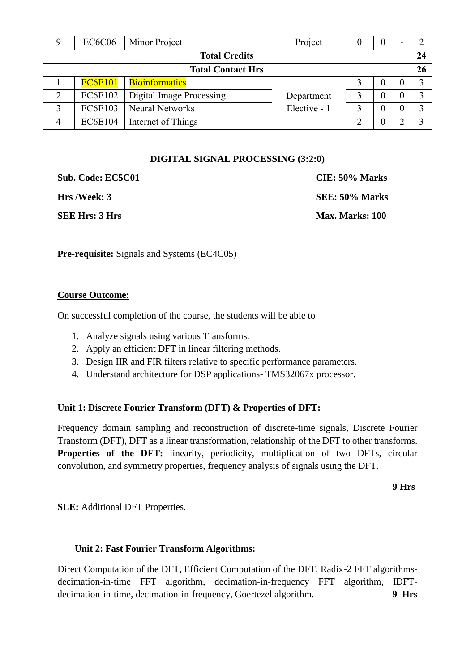| EC <sub>6</sub> C <sub>06</sub> | Minor Project                   | Project      |  | 0            |    |    |
|---------------------------------|---------------------------------|--------------|--|--------------|----|----|
| <b>Total Credits</b>            |                                 |              |  |              | 24 |    |
|                                 | <b>Total Contact Hrs</b>        |              |  |              |    | 26 |
| <b>EC6E101</b>                  | <b>Bioinformatics</b>           |              |  | $\mathbf{0}$ |    |    |
| <b>EC6E102</b>                  | <b>Digital Image Processing</b> | Department   |  |              |    |    |
| <b>EC6E103</b>                  | <b>Neural Networks</b>          | Elective - 1 |  |              |    |    |
| <b>EC6E104</b>                  | Internet of Things              |              |  |              |    |    |

#### **DIGITAL SIGNAL PROCESSING (3:2:0)**

| Sub. Code: EC5C01     | CIE: 50% Marks  |
|-----------------------|-----------------|
| Hrs /Week: 3          | SEE: 50% Marks  |
| <b>SEE Hrs: 3 Hrs</b> | Max. Marks: 100 |

**Pre-requisite:** Signals and Systems (EC4C05)

#### **Course Outcome:**

On successful completion of the course, the students will be able to

- 1. Analyze signals using various Transforms.
- 2. Apply an efficient DFT in linear filtering methods.
- 3. Design IIR and FIR filters relative to specific performance parameters.
- 4. Understand architecture for DSP applications- TMS32067x processor.

#### **Unit 1: Discrete Fourier Transform (DFT) & Properties of DFT:**

Frequency domain sampling and reconstruction of discrete-time signals, Discrete Fourier Transform (DFT), DFT as a linear transformation, relationship of the DFT to other transforms. **Properties of the DFT:** linearity, periodicity, multiplication of two DFTs, circular convolution, and symmetry properties, frequency analysis of signals using the DFT.

**9 Hrs** 

**SLE:** Additional DFT Properties.

#### **Unit 2: Fast Fourier Transform Algorithms:**

Direct Computation of the DFT, Efficient Computation of the DFT, Radix-2 FFT algorithmsdecimation-in-time FFT algorithm, decimation-in-frequency FFT algorithm, IDFTdecimation-in-time, decimation-in-frequency, Goertezel algorithm. **9 Hrs**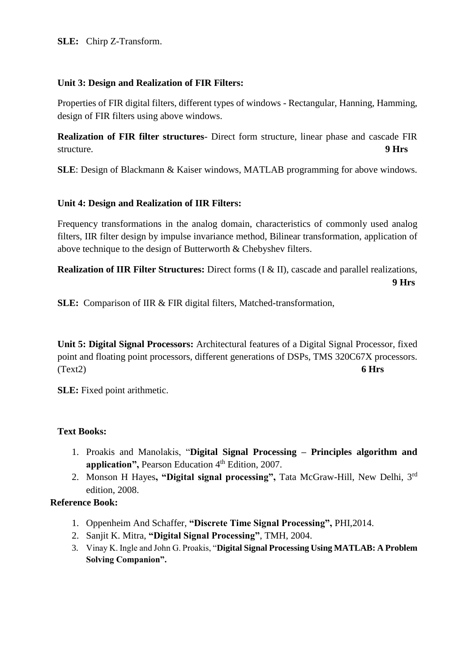**SLE:** Chirp Z-Transform.

#### **Unit 3: Design and Realization of FIR Filters:**

Properties of FIR digital filters, different types of windows - Rectangular, Hanning, Hamming, design of FIR filters using above windows.

**Realization of FIR filter structures**- Direct form structure, linear phase and cascade FIR structure. **9 Hrs**

**SLE**: Design of Blackmann & Kaiser windows, MATLAB programming for above windows.

## **Unit 4: Design and Realization of IIR Filters:**

Frequency transformations in the analog domain, characteristics of commonly used analog filters, IIR filter design by impulse invariance method, Bilinear transformation, application of above technique to the design of Butterworth & Chebyshev filters.

**Realization of IIR Filter Structures:** Direct forms (I & II), cascade and parallel realizations,  **9 Hrs**

**SLE:** Comparison of IIR & FIR digital filters, Matched-transformation,

**Unit 5: Digital Signal Processors:** Architectural features of a Digital Signal Processor, fixed point and floating point processors, different generations of DSPs, TMS 320C67X processors. (Text2) **6 Hrs**

**SLE:** Fixed point arithmetic.

#### **Text Books:**

- 1. Proakis and Manolakis, "**Digital Signal Processing – Principles algorithm and**  application", Pearson Education 4<sup>th</sup> Edition, 2007.
- 2. Monson H Hayes**, "Digital signal processing",** Tata McGraw-Hill, New Delhi, 3rd edition, 2008.

# **Reference Book:**

- 1. Oppenheim And Schaffer, **"Discrete Time Signal Processing",** PHI,2014.
- 2. Sanjit K. Mitra, **"Digital Signal Processing"**, TMH, 2004.
- 3. Vinay K. Ingle and John G. Proakis, "**Digital Signal Processing Using MATLAB: A Problem Solving Companion".**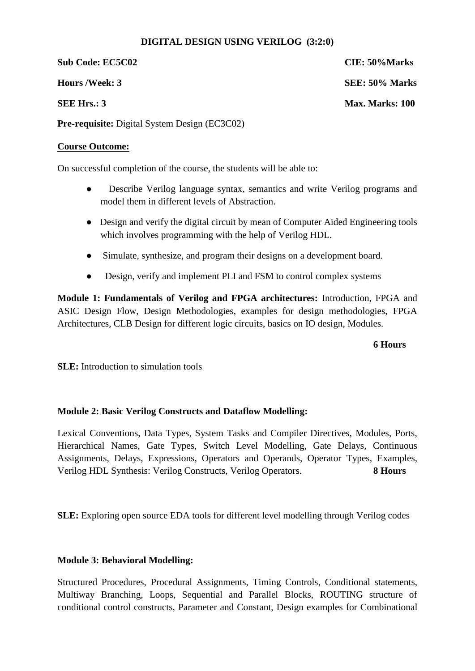#### **DIGITAL DESIGN USING VERILOG (3:2:0)**

**Sub Code: EC5C02 CIE: 50%Marks**

**Pre-requisite:** Digital System Design (EC3C02)

#### **Course Outcome:**

On successful completion of the course, the students will be able to:

- Describe Verilog language syntax, semantics and write Verilog programs and model them in different levels of Abstraction.
- Design and verify the digital circuit by mean of Computer Aided Engineering tools which involves programming with the help of Verilog HDL.
- Simulate, synthesize, and program their designs on a development board.
- Design, verify and implement PLI and FSM to control complex systems

**Module 1: Fundamentals of Verilog and FPGA architectures:** Introduction, FPGA and ASIC Design Flow, Design Methodologies, examples for design methodologies, FPGA Architectures, CLB Design for different logic circuits, basics on IO design, Modules.

#### **6 Hours**

**SLE:** Introduction to simulation tools

#### **Module 2: Basic Verilog Constructs and Dataflow Modelling:**

Lexical Conventions, Data Types, System Tasks and Compiler Directives, Modules, Ports, Hierarchical Names, Gate Types, Switch Level Modelling, Gate Delays, Continuous Assignments, Delays, Expressions, Operators and Operands, Operator Types, Examples, Verilog HDL Synthesis: Verilog Constructs, Verilog Operators. **8 Hours**

**SLE:** Exploring open source EDA tools for different level modelling through Verilog codes

#### **Module 3: Behavioral Modelling:**

Structured Procedures, Procedural Assignments, Timing Controls, Conditional statements, Multiway Branching, Loops, Sequential and Parallel Blocks, ROUTING structure of conditional control constructs, Parameter and Constant, Design examples for Combinational

**Hours /Week: 3 SEE: 50% Marks SEE Hrs.: 3** Max. Marks: 100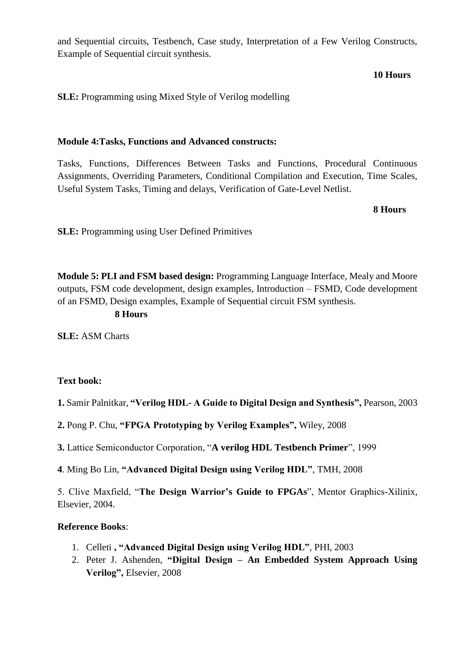and Sequential circuits, Testbench, Case study, Interpretation of a Few Verilog Constructs, Example of Sequential circuit synthesis.

#### **10 Hours**

**SLE:** Programming using Mixed Style of Verilog modelling

#### **Module 4:Tasks, Functions and Advanced constructs:**

Tasks, Functions, Differences Between Tasks and Functions, Procedural Continuous Assignments, Overriding Parameters, Conditional Compilation and Execution, Time Scales, Useful System Tasks, Timing and delays, Verification of Gate-Level Netlist.

#### **8 Hours**

**SLE:** Programming using User Defined Primitives

**Module 5: PLI and FSM based design:** Programming Language Interface, Mealy and Moore outputs, FSM code development, design examples, Introduction – FSMD, Code development of an FSMD, Design examples, Example of Sequential circuit FSM synthesis.

#### **8 Hours**

**SLE:** ASM Charts

#### **Text book:**

- **1.** Samir Palnitkar, **"Verilog HDL- A Guide to Digital Design and Synthesis",** Pearson, 2003
- **2.** Pong P. Chu, **"FPGA Prototyping by Verilog Examples",** Wiley, 2008
- **3.** Lattice Semiconductor Corporation, "**A verilog HDL Testbench Primer**", 1999
- **4**. Ming Bo Lin, **"Advanced Digital Design using Verilog HDL"**, TMH, 2008

5. Clive Maxfield, "**The Design Warrior's Guide to FPGAs**", Mentor Graphics-Xilinix, Elsevier, 2004.

#### **Reference Books**:

- 1. Celleti **, "Advanced Digital Design using Verilog HDL"**, PHI, 2003
- 2. Peter J. Ashenden, **"Digital Design – An Embedded System Approach Using Verilog",** Elsevier, 2008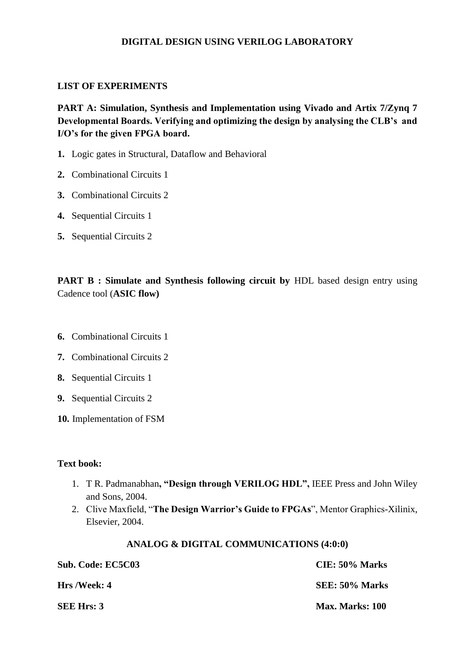#### **DIGITAL DESIGN USING VERILOG LABORATORY**

#### **LIST OF EXPERIMENTS**

**PART A: Simulation, Synthesis and Implementation using Vivado and Artix 7/Zynq 7 Developmental Boards. Verifying and optimizing the design by analysing the CLB's and I/O's for the given FPGA board.**

- **1.** Logic gates in Structural, Dataflow and Behavioral
- **2.** Combinational Circuits 1
- **3.** Combinational Circuits 2
- **4.** Sequential Circuits 1
- **5.** Sequential Circuits 2

**PART B : Simulate and Synthesis following circuit by HDL based design entry using** Cadence tool (**ASIC flow)**

- **6.** Combinational Circuits 1
- **7.** Combinational Circuits 2
- **8.** Sequential Circuits 1
- **9.** Sequential Circuits 2
- **10.** Implementation of FSM

#### **Text book:**

- 1. T R. Padmanabhan**, "Design through VERILOG HDL",** IEEE Press and John Wiley and Sons, 2004.
- 2. Clive Maxfield, "**The Design Warrior's Guide to FPGAs**", Mentor Graphics-Xilinix, Elsevier, 2004.

#### **ANALOG & DIGITAL COMMUNICATIONS (4:0:0)**

| Sub. Code: EC5C03   | CIE: 50% Marks  |
|---------------------|-----------------|
| <b>Hrs</b> /Week: 4 | SEE: 50% Marks  |
| <b>SEE Hrs: 3</b>   | Max. Marks: 100 |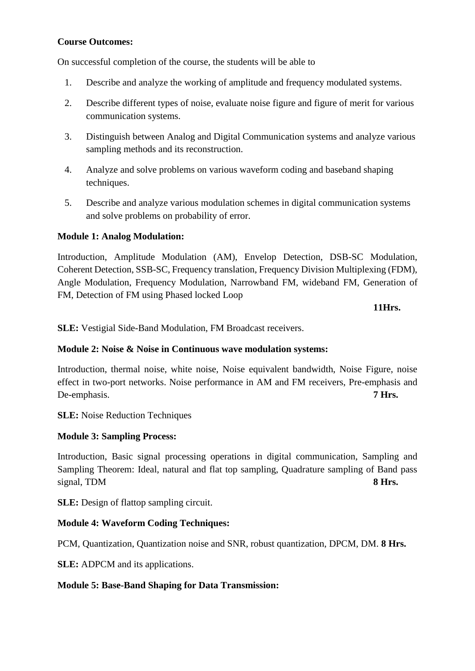#### **Course Outcomes:**

On successful completion of the course, the students will be able to

- 1. Describe and analyze the working of amplitude and frequency modulated systems.
- 2. Describe different types of noise, evaluate noise figure and figure of merit for various communication systems.
- 3. Distinguish between Analog and Digital Communication systems and analyze various sampling methods and its reconstruction.
- 4. Analyze and solve problems on various waveform coding and baseband shaping techniques.
- 5. Describe and analyze various modulation schemes in digital communication systems and solve problems on probability of error.

#### **Module 1: Analog Modulation:**

Introduction, Amplitude Modulation (AM), Envelop Detection, DSB-SC Modulation, Coherent Detection, SSB-SC, Frequency translation, Frequency Division Multiplexing (FDM), Angle Modulation, Frequency Modulation, Narrowband FM, wideband FM, Generation of FM, Detection of FM using Phased locked Loop

**11Hrs.**

**SLE:** Vestigial Side-Band Modulation, FM Broadcast receivers.

#### **Module 2: Noise & Noise in Continuous wave modulation systems:**

Introduction, thermal noise, white noise, Noise equivalent bandwidth, Noise Figure, noise effect in two-port networks. Noise performance in AM and FM receivers, Pre-emphasis and De-emphasis. **7 Hrs.**

**SLE:** Noise Reduction Techniques

#### **Module 3: Sampling Process:**

Introduction, Basic signal processing operations in digital communication, Sampling and Sampling Theorem: Ideal, natural and flat top sampling, Quadrature sampling of Band pass signal, TDM **8 Hrs.** 

**SLE:** Design of flattop sampling circuit.

#### **Module 4: Waveform Coding Techniques:**

PCM, Quantization, Quantization noise and SNR, robust quantization, DPCM, DM. **8 Hrs.**

**SLE:** ADPCM and its applications.

#### **Module 5: Base-Band Shaping for Data Transmission:**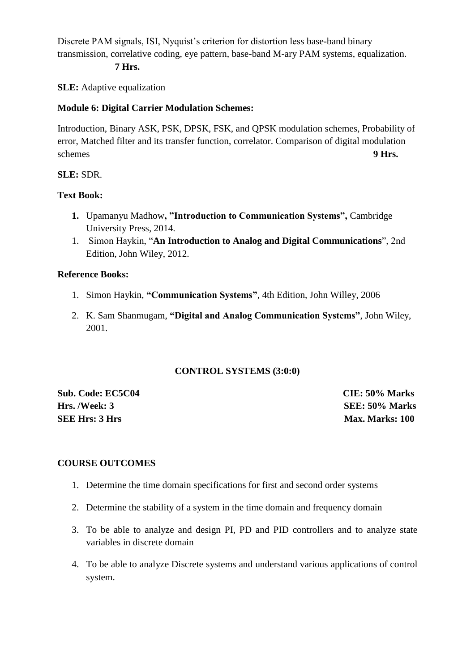Discrete PAM signals, ISI, Nyquist's criterion for distortion less base-band binary transmission, correlative coding, eye pattern, base-band M-ary PAM systems, equalization.

#### **7 Hrs.**

**SLE:** Adaptive equalization

#### **Module 6: Digital Carrier Modulation Schemes:**

Introduction, Binary ASK, PSK, DPSK, FSK, and QPSK modulation schemes, Probability of error, Matched filter and its transfer function, correlator. Comparison of digital modulation schemes **9 Hrs.** 

#### **SLE:** SDR.

#### **Text Book:**

- **1.** Upamanyu Madhow**, "Introduction to Communication Systems",** Cambridge University Press, 2014.
- 1. Simon Haykin, "**An Introduction to Analog and Digital Communications**", 2nd Edition, John Wiley, 2012.

#### **Reference Books:**

- 1. Simon Haykin, **"Communication Systems"**, 4th Edition, John Willey, 2006
- 2. K. Sam Shanmugam, **"Digital and Analog Communication Systems"**, John Wiley, 2001.

#### **CONTROL SYSTEMS (3:0:0)**

**Sub. Code: EC5C04 CIE: 50% Marks Hrs. /Week: 3 SEE: 50% Marks SEE Hrs: 3 Hrs** Max. Marks: 100

#### **COURSE OUTCOMES**

- 1. Determine the time domain specifications for first and second order systems
- 2. Determine the stability of a system in the time domain and frequency domain
- 3. To be able to analyze and design PI, PD and PID controllers and to analyze state variables in discrete domain
- 4. To be able to analyze Discrete systems and understand various applications of control system.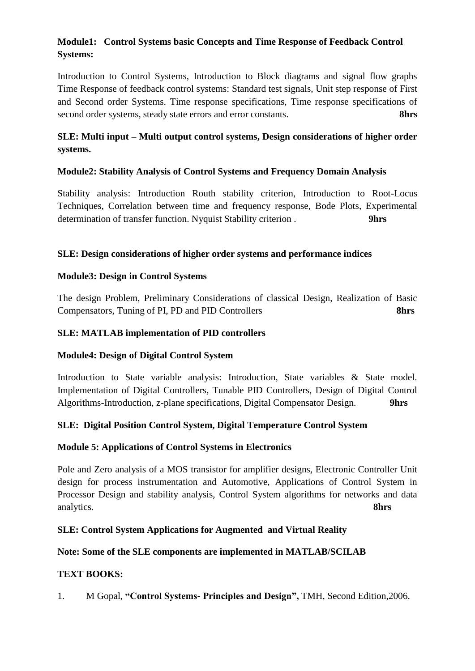# **Module1: Control Systems basic Concepts and Time Response of Feedback Control Systems:**

Introduction to Control Systems, Introduction to Block diagrams and signal flow graphs Time Response of feedback control systems: Standard test signals, Unit step response of First and Second order Systems. Time response specifications, Time response specifications of second order systems, steady state errors and error constants. **8hrs**

# **SLE: Multi input – Multi output control systems, Design considerations of higher order systems.**

## **Module2: Stability Analysis of Control Systems and Frequency Domain Analysis**

Stability analysis: Introduction Routh stability criterion, Introduction to Root-Locus Techniques, Correlation between time and frequency response, Bode Plots, Experimental determination of transfer function. Nyquist Stability criterion . **9hrs** 

#### **SLE: Design considerations of higher order systems and performance indices**

#### **Module3: Design in Control Systems**

The design Problem, Preliminary Considerations of classical Design, Realization of Basic Compensators, Tuning of PI, PD and PID Controllers **8hrs** 

#### **SLE: MATLAB implementation of PID controllers**

#### **Module4: Design of Digital Control System**

Introduction to State variable analysis: Introduction, State variables & State model. Implementation of Digital Controllers, Tunable PID Controllers, Design of Digital Control Algorithms-Introduction, z-plane specifications, Digital Compensator Design. **9hrs** 

#### **SLE: Digital Position Control System, Digital Temperature Control System**

#### **Module 5: Applications of Control Systems in Electronics**

Pole and Zero analysis of a MOS transistor for amplifier designs, Electronic Controller Unit design for process instrumentation and Automotive, Applications of Control System in Processor Design and stability analysis, Control System algorithms for networks and data analytics. **8hrs**

#### **SLE: Control System Applications for Augmented and Virtual Reality**

#### **Note: Some of the SLE components are implemented in MATLAB/SCILAB**

#### **TEXT BOOKS:**

1. M Gopal, **"Control Systems- Principles and Design",** TMH, Second Edition,2006.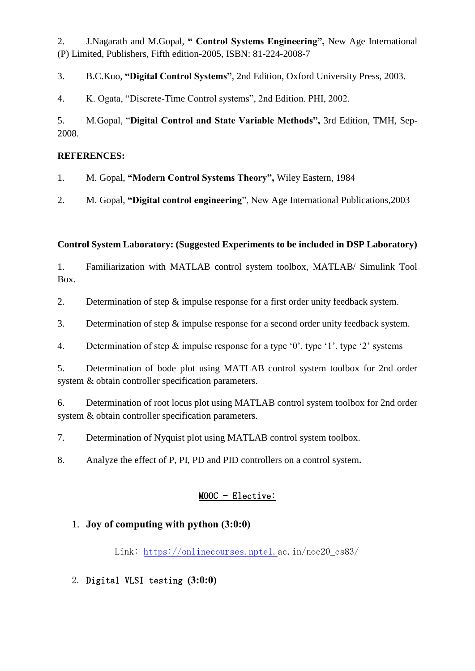2. J.Nagarath and M.Gopal, **" Control Systems Engineering",** New Age International (P) Limited, Publishers, Fifth edition-2005, ISBN: 81-224-2008-7

3. B.C.Kuo, **"Digital Control Systems"**, 2nd Edition, Oxford University Press, 2003.

4. K. Ogata, "Discrete-Time Control systems", 2nd Edition. PHI, 2002.

# 5. M.Gopal, "**Digital Control and State Variable Methods",** 3rd Edition, TMH, Sep-2008.

## **REFERENCES:**

1. M. Gopal, **"Modern Control Systems Theory",** Wiley Eastern, 1984

2. M. Gopal, **"Digital control engineering**", New Age International Publications,2003

# **Control System Laboratory: (Suggested Experiments to be included in DSP Laboratory)**

1. Familiarization with MATLAB control system toolbox, MATLAB/ Simulink Tool Box.

2. Determination of step & impulse response for a first order unity feedback system.

- 3. Determination of step & impulse response for a second order unity feedback system.
- 4. Determination of step & impulse response for a type '0', type '1', type '2' systems

5. Determination of bode plot using MATLAB control system toolbox for 2nd order system & obtain controller specification parameters.

6. Determination of root locus plot using MATLAB control system toolbox for 2nd order system & obtain controller specification parameters.

7. Determination of Nyquist plot using MATLAB control system toolbox.

8. Analyze the effect of P, PI, PD and PID controllers on a control system**.**

# MOOC – Elective:

# 1. **Joy of computing with python (3:0:0)**

Link: [https://onlinecourses.nptel.ac.in/n](https://onlinecourses.nptel./)oc20\_cs83/

2. Digital VLSI testing **(3:0:0)**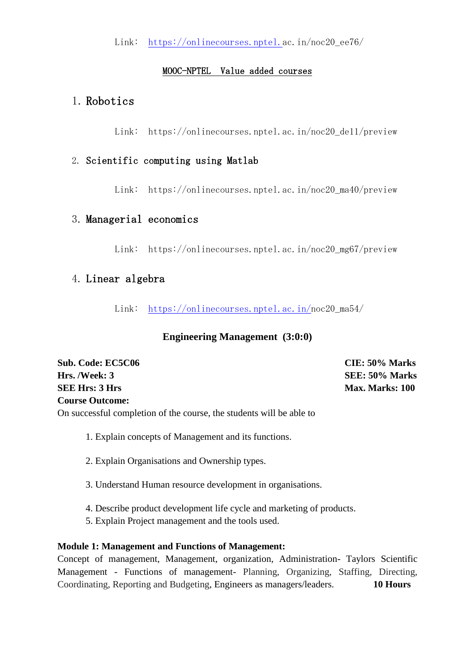Link: [https://onlinecourses.nptel.ac.in/n](https://onlinecourses.nptel./)oc20\_ee76/

## MOOC-NPTEL Value added courses

# 1. Robotics

Link: https://onlinecourses.nptel.ac.in/noc20\_de11/preview

# 2. Scientific computing using Matlab

Link: https://onlinecourses.nptel.ac.in/noc20\_ma40/preview

# 3. Managerial economics

Link: https://onlinecourses.nptel.ac.in/noc20\_mg67/preview

# 4. Linear algebra

Link: [https://onlinecourses.nptel.ac.in/n](https://onlinecourses.nptel.ac.in/)oc20\_ma54/

# **Engineering Management (3:0:0)**

| <b>Sub. Code: EC5C06</b> | CIE: 50% Marks         |
|--------------------------|------------------------|
| <b>Hrs. /Week: 3</b>     | SEE: 50% Marks         |
| <b>SEE Hrs: 3 Hrs</b>    | <b>Max. Marks: 100</b> |
| <b>Course Outcome:</b>   |                        |

On successful completion of the course, the students will be able to

- 1. Explain concepts of Management and its functions.
- 2. Explain Organisations and Ownership types.
- 3. Understand Human resource development in organisations.
- 4. Describe product development life cycle and marketing of products.
- 5. Explain Project management and the tools used.

#### **Module 1: Management and Functions of Management:**

Concept of management, Management, organization, Administration- Taylors Scientific Management - Functions of management- Planning, Organizing, Staffing, Directing, Coordinating, Reporting and Budgeting, Engineers as managers/leaders. **10 Hours**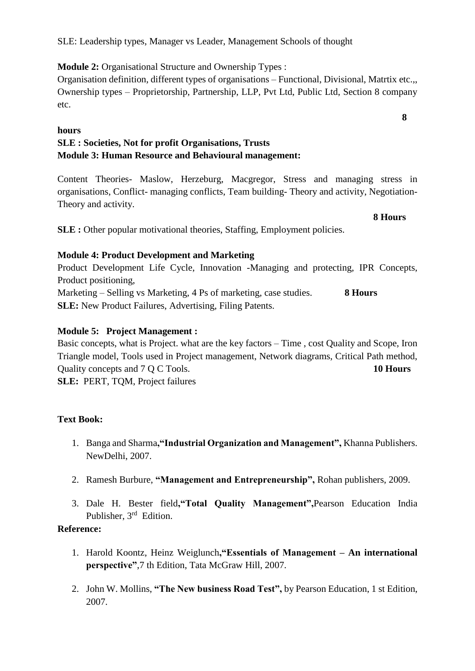# **Module 2:** Organisational Structure and Ownership Types :

Organisation definition, different types of organisations – Functional, Divisional, Matrtix etc.,, Ownership types – Proprietorship, Partnership, LLP, Pvt Ltd, Public Ltd, Section 8 company etc.

# **hours**

# **SLE : Societies, Not for profit Organisations, Trusts Module 3: Human Resource and Behavioural management:**

Content Theories- Maslow, Herzeburg, Macgregor, Stress and managing stress in organisations, Conflict- managing conflicts, Team building- Theory and activity, Negotiation-Theory and activity.

**8 Hours**

**SLE :** Other popular motivational theories, Staffing, Employment policies.

# **Module 4: Product Development and Marketing**

Product Development Life Cycle, Innovation -Managing and protecting, IPR Concepts, Product positioning,

Marketing – Selling vs Marketing, 4 Ps of marketing, case studies. **8 Hours SLE:** New Product Failures, Advertising, Filing Patents.

# **Module 5: Project Management :**

Basic concepts, what is Project. what are the key factors – Time , cost Quality and Scope, Iron Triangle model, Tools used in Project management, Network diagrams, Critical Path method, Quality concepts and 7 Q C Tools. **10 Hours SLE:** PERT, TQM, Project failures

# **Text Book:**

- 1. Banga and Sharma**,"Industrial Organization and Management",** Khanna Publishers. NewDelhi, 2007.
- 2. Ramesh Burbure, **"Management and Entrepreneurship",** Rohan publishers, 2009.
- 3. Dale H. Bester field**,"Total Quality Management",**Pearson Education India Publisher, 3<sup>rd</sup> Edition.

# **Reference:**

- 1. Harold Koontz, Heinz Weiglunch**,"Essentials of Management – An international perspective"**,7 th Edition, Tata McGraw Hill, 2007.
- 2. John W. Mollins, **"The New business Road Test",** by Pearson Education, 1 st Edition, 2007.

**8**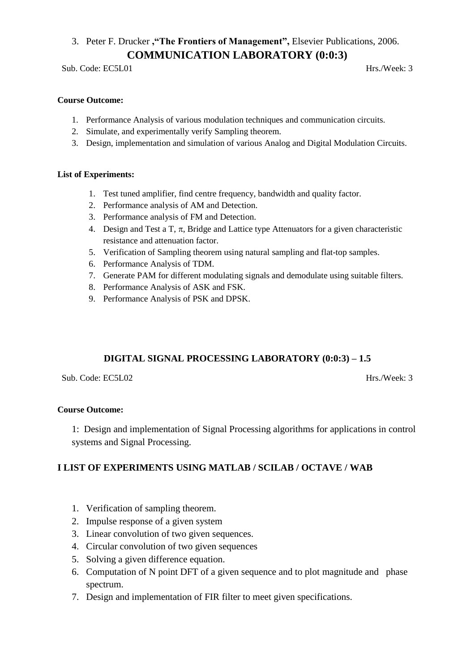# 3. Peter F. Drucker **,"The Frontiers of Management",** Elsevier Publications, 2006. **COMMUNICATION LABORATORY (0:0:3)**

Sub. Code: EC5L01 Hrs./Week: 3

#### **Course Outcome:**

- 1. Performance Analysis of various modulation techniques and communication circuits.
- 2. Simulate, and experimentally verify Sampling theorem.
- 3. Design, implementation and simulation of various Analog and Digital Modulation Circuits.

#### **List of Experiments:**

- 1. Test tuned amplifier, find centre frequency, bandwidth and quality factor.
- 2. Performance analysis of AM and Detection.
- 3. Performance analysis of FM and Detection.
- 4. Design and Test a T,  $\pi$ , Bridge and Lattice type Attenuators for a given characteristic resistance and attenuation factor.
- 5. Verification of Sampling theorem using natural sampling and flat-top samples.
- 6. Performance Analysis of TDM.
- 7. Generate PAM for different modulating signals and demodulate using suitable filters.
- 8. Performance Analysis of ASK and FSK.
- 9. Performance Analysis of PSK and DPSK.

# **DIGITAL SIGNAL PROCESSING LABORATORY (0:0:3) – 1.5**

Sub. Code: EC5L02 Hrs./Week: 3

#### **Course Outcome:**

1: Design and implementation of Signal Processing algorithms for applications in control systems and Signal Processing.

#### **I LIST OF EXPERIMENTS USING MATLAB / SCILAB / OCTAVE / WAB**

- 1. Verification of sampling theorem.
- 2. Impulse response of a given system
- 3. Linear convolution of two given sequences.
- 4. Circular convolution of two given sequences
- 5. Solving a given difference equation.
- 6. Computation of N point DFT of a given sequence and to plot magnitude and phase spectrum.
- 7. Design and implementation of FIR filter to meet given specifications.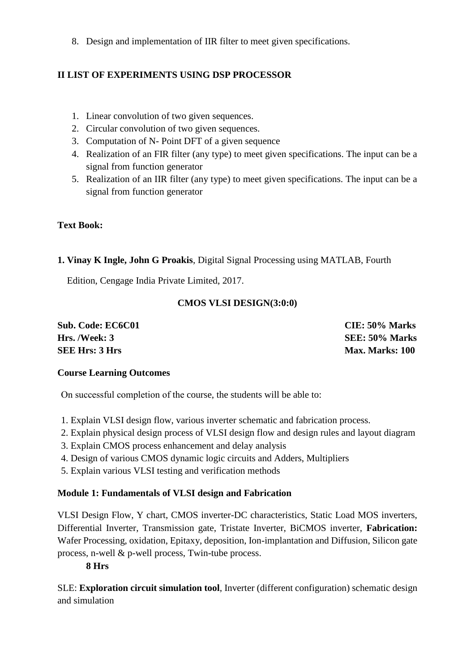8. Design and implementation of IIR filter to meet given specifications.

# **II LIST OF EXPERIMENTS USING DSP PROCESSOR**

- 1. Linear convolution of two given sequences.
- 2. Circular convolution of two given sequences.
- 3. Computation of N- Point DFT of a given sequence
- 4. Realization of an FIR filter (any type) to meet given specifications. The input can be a signal from function generator
- 5. Realization of an IIR filter (any type) to meet given specifications. The input can be a signal from function generator

# **Text Book:**

# **1. Vinay K Ingle, John G Proakis**, Digital Signal Processing using MATLAB, Fourth

Edition, Cengage India Private Limited, 2017.

# **CMOS VLSI DESIGN(3:0:0)**

| Sub. Code: EC6C01     | CIE: 50% Marks         |
|-----------------------|------------------------|
| Hrs. /Week: 3         | SEE: 50% Marks         |
| <b>SEE Hrs: 3 Hrs</b> | <b>Max. Marks: 100</b> |

# **Course Learning Outcomes**

On successful completion of the course, the students will be able to:

- 1. Explain VLSI design flow, various inverter schematic and fabrication process.
- 2. Explain physical design process of VLSI design flow and design rules and layout diagram
- 3. Explain CMOS process enhancement and delay analysis
- 4. Design of various CMOS dynamic logic circuits and Adders, Multipliers
- 5. Explain various VLSI testing and verification methods

# **Module 1: Fundamentals of VLSI design and Fabrication**

VLSI Design Flow, Y chart, CMOS inverter-DC characteristics, Static Load MOS inverters, Differential Inverter, Transmission gate, Tristate Inverter, BiCMOS inverter, **Fabrication:** Wafer Processing, oxidation, Epitaxy, deposition, Ion-implantation and Diffusion, Silicon gate process, n-well & p-well process, Twin-tube process.

# **8 Hrs**

SLE: **Exploration circuit simulation tool**, Inverter (different configuration) schematic design and simulation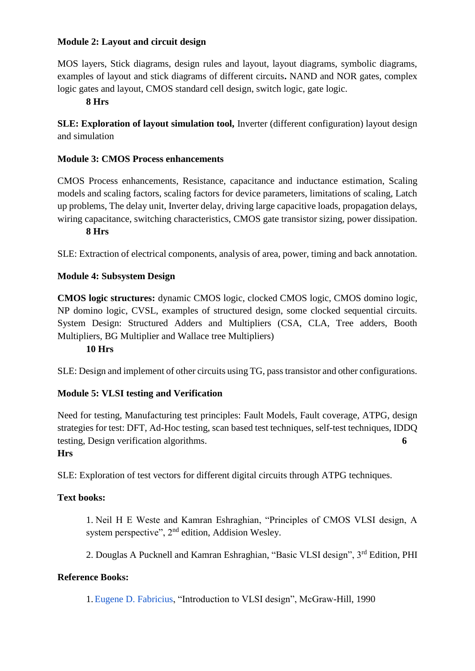#### **Module 2: Layout and circuit design**

MOS layers, Stick diagrams, design rules and layout, layout diagrams, symbolic diagrams, examples of layout and stick diagrams of different circuits**.** NAND and NOR gates, complex logic gates and layout, CMOS standard cell design, switch logic, gate logic.

#### **8 Hrs**

**SLE: Exploration of layout simulation tool,** Inverter (different configuration) layout design and simulation

#### **Module 3: CMOS Process enhancements**

CMOS Process enhancements, Resistance, capacitance and inductance estimation, Scaling models and scaling factors, scaling factors for device parameters, limitations of scaling, Latch up problems, The delay unit, Inverter delay, driving large capacitive loads, propagation delays, wiring capacitance, switching characteristics, CMOS gate transistor sizing, power dissipation.

# **8 Hrs**

SLE: Extraction of electrical components, analysis of area, power, timing and back annotation.

#### **Module 4: Subsystem Design**

**CMOS logic structures:** dynamic CMOS logic, clocked CMOS logic, CMOS domino logic, NP domino logic, CVSL, examples of structured design, some clocked sequential circuits. System Design: Structured Adders and Multipliers (CSA, CLA, Tree adders, Booth Multipliers, BG Multiplier and Wallace tree Multipliers)

#### **10 Hrs**

SLE: Design and implement of other circuits using TG, pass transistor and other configurations.

#### **Module 5: VLSI testing and Verification**

Need for testing, Manufacturing test principles: Fault Models, Fault coverage, ATPG, design strategies for test: DFT, Ad-Hoc testing, scan based test techniques, self-test techniques, IDDQ testing, Design verification algorithms. **6** 

#### **Hrs**

SLE: Exploration of test vectors for different digital circuits through ATPG techniques.

#### **Text books:**

1. Neil H E Weste and Kamran Eshraghian, "Principles of CMOS VLSI design, A system perspective", 2<sup>nd</sup> edition, Addision Wesley.

2. Douglas A Pucknell and Kamran Eshraghian, "Basic VLSI design", 3rd Edition, PHI

#### **Reference Books:**

1[.Eugene D. Fabricius,](https://www.google.co.in/search?tbo=p&tbm=bks&q=inauthor:%22Eugene+D.+Fabricius%22) "Introduction to VLSI design", McGraw-Hill, 1990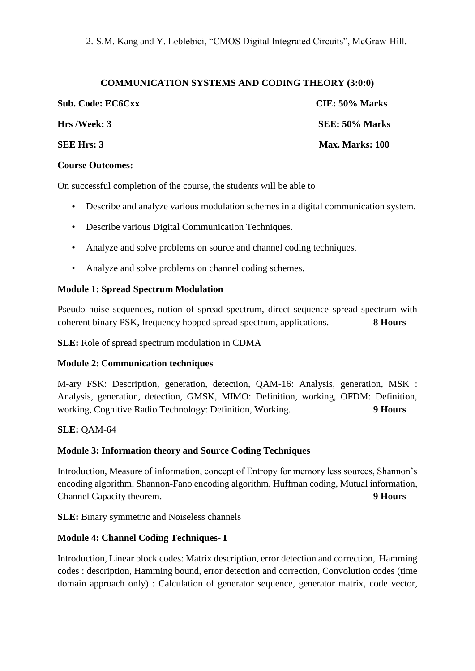2. S.M. Kang and Y. Leblebici, "CMOS Digital Integrated Circuits", McGraw-Hill.

#### **COMMUNICATION SYSTEMS AND CODING THEORY (3:0:0)**

| Sub. Code: EC6Cxx | $CIE: 50\%$ Marks      |
|-------------------|------------------------|
| Hrs /Week: 3      | SEE: 50% Marks         |
| <b>SEE Hrs: 3</b> | <b>Max. Marks: 100</b> |

#### **Course Outcomes:**

On successful completion of the course, the students will be able to

- Describe and analyze various modulation schemes in a digital communication system.
- Describe various Digital Communication Techniques.
- Analyze and solve problems on source and channel coding techniques.
- Analyze and solve problems on channel coding schemes.

#### **Module 1: Spread Spectrum Modulation**

Pseudo noise sequences, notion of spread spectrum, direct sequence spread spectrum with coherent binary PSK, frequency hopped spread spectrum, applications. **8 Hours**

**SLE:** Role of spread spectrum modulation in CDMA

#### **Module 2: Communication techniques**

M-ary FSK: Description, generation, detection, QAM-16: Analysis, generation, MSK : Analysis, generation, detection, GMSK, MIMO: Definition, working, OFDM: Definition, working, Cognitive Radio Technology: Definition, Working. **9 Hours**

#### **SLE:** QAM-64

#### **Module 3: Information theory and Source Coding Techniques**

Introduction, Measure of information, concept of Entropy for memory less sources, Shannon's encoding algorithm, Shannon-Fano encoding algorithm, Huffman coding, Mutual information, Channel Capacity theorem. **9 Hours**

**SLE:** Binary symmetric and Noiseless channels

#### **Module 4: Channel Coding Techniques- I**

Introduction, Linear block codes: Matrix description, error detection and correction, Hamming codes : description, Hamming bound, error detection and correction, Convolution codes (time domain approach only) : Calculation of generator sequence, generator matrix, code vector,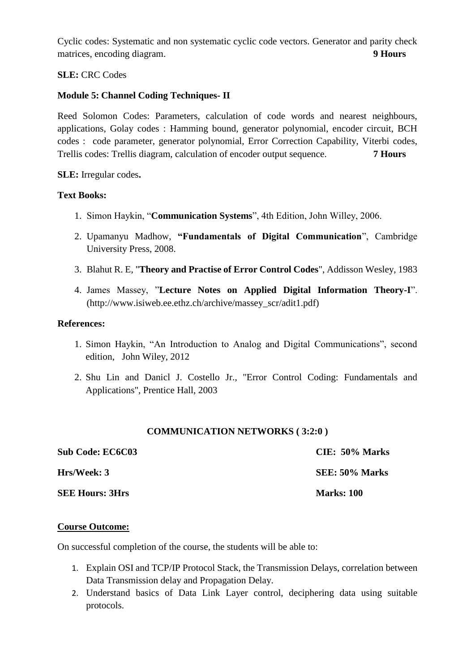Cyclic codes: Systematic and non systematic cyclic code vectors. Generator and parity check matrices, encoding diagram. **9 Hours** 

#### **SLE:** CRC Codes

## **Module 5: Channel Coding Techniques- II**

Reed Solomon Codes: Parameters, calculation of code words and nearest neighbours, applications, Golay codes : Hamming bound, generator polynomial, encoder circuit, BCH codes : code parameter, generator polynomial, Error Correction Capability, Viterbi codes, Trellis codes: Trellis diagram, calculation of encoder output sequence. **7 Hours**

**SLE:** Irregular codes**.**

#### **Text Books:**

- 1. Simon Haykin, "**Communication Systems**", 4th Edition, John Willey, 2006.
- 2. Upamanyu Madhow, **"Fundamentals of Digital Communication**", Cambridge University Press, 2008.
- 3. Blahut R. E, "**Theory and Practise of Error Control Codes**", Addisson Wesley, 1983
- 4. James Massey, "**Lecture Notes on Applied Digital Information Theory-I**". (http://www.isiweb.ee.ethz.ch/archive/massey\_scr/adit1.pdf)

#### **References:**

- 1. Simon Haykin, "An Introduction to Analog and Digital Communications", second edition, John Wiley, 2012
- 2. Shu Lin and Danicl J. Costello Jr., "Error Control Coding: Fundamentals and Applications", Prentice Hall, 2003

#### **COMMUNICATION NETWORKS ( 3:2:0 )**

| <b>Sub Code: EC6C03</b> | CIE: 50% Marks    |
|-------------------------|-------------------|
| Hrs/Week: 3             | SEE: 50% Marks    |
| <b>SEE Hours: 3Hrs</b>  | <b>Marks: 100</b> |

#### **Course Outcome:**

On successful completion of the course, the students will be able to:

- 1. Explain OSI and TCP/IP Protocol Stack, the Transmission Delays, correlation between Data Transmission delay and Propagation Delay.
- 2. Understand basics of Data Link Layer control, deciphering data using suitable protocols.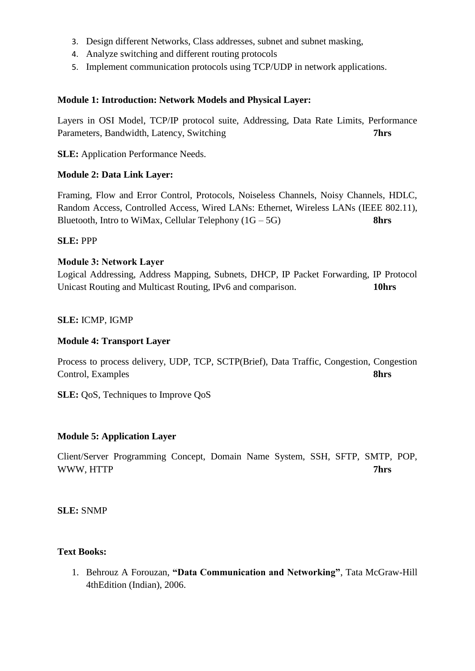- 3. Design different Networks, Class addresses, subnet and subnet masking,
- 4. Analyze switching and different routing protocols
- 5. Implement communication protocols using TCP/UDP in network applications.

#### **Module 1: Introduction: Network Models and Physical Layer:**

Layers in OSI Model, TCP/IP protocol suite, Addressing, Data Rate Limits, Performance Parameters, Bandwidth, Latency, Switching **7hrs**

**SLE:** Application Performance Needs.

#### **Module 2: Data Link Layer:**

Framing, Flow and Error Control, Protocols, Noiseless Channels, Noisy Channels, HDLC, Random Access, Controlled Access, Wired LANs: Ethernet, Wireless LANs (IEEE 802.11), Bluetooth, Intro to WiMax, Cellular Telephony (1G – 5G) **8hrs**

#### **SLE:** PPP

#### **Module 3: Network Layer**

Logical Addressing, Address Mapping, Subnets, DHCP, IP Packet Forwarding, IP Protocol Unicast Routing and Multicast Routing, IPv6 and comparison. **10hrs**

#### **SLE:** ICMP, IGMP

#### **Module 4: Transport Layer**

Process to process delivery, UDP, TCP, SCTP(Brief), Data Traffic, Congestion, Congestion Control, Examples **8hrs**

**SLE:** QoS, Techniques to Improve QoS

#### **Module 5: Application Layer**

Client/Server Programming Concept, Domain Name System, SSH, SFTP, SMTP, POP, WWW, HTTP **7hrs**

**SLE:** SNMP

#### **Text Books:**

1. Behrouz A Forouzan, **"Data Communication and Networking"**, Tata McGraw-Hill 4thEdition (Indian), 2006.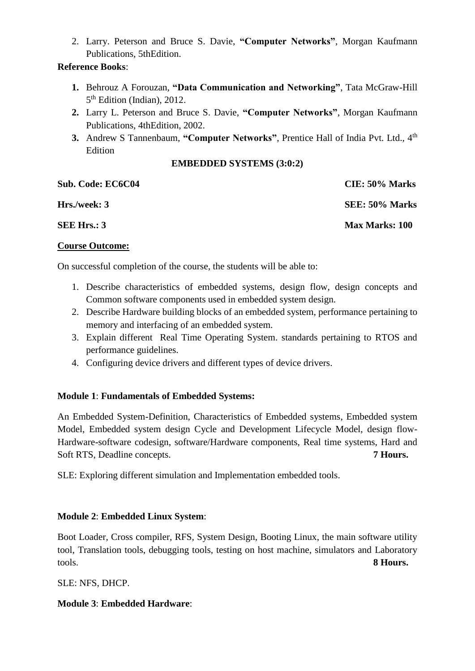2. Larry. Peterson and Bruce S. Davie, **"Computer Networks"**, Morgan Kaufmann Publications, 5thEdition.

#### **Reference Books**:

- **1.** Behrouz A Forouzan, **"Data Communication and Networking"**, Tata McGraw-Hill 5<sup>th</sup> Edition (Indian), 2012.
- **2.** Larry L. Peterson and Bruce S. Davie, **"Computer Networks"**, Morgan Kaufmann Publications, 4thEdition, 2002.
- **3.** Andrew S Tannenbaum, "Computer Networks", Prentice Hall of India Pvt. Ltd., 4<sup>th</sup> **Edition**

#### **EMBEDDED SYSTEMS (3:0:2)**

| <b>Sub. Code: EC6C04</b> | CIE: 50% Marks        |
|--------------------------|-----------------------|
| Hrs./week: 3             | SEE: 50% Marks        |
| <b>SEE Hrs.: 3</b>       | <b>Max Marks: 100</b> |

#### **Course Outcome:**

On successful completion of the course, the students will be able to:

- 1. Describe characteristics of embedded systems, design flow, design concepts and Common software components used in embedded system design.
- 2. Describe Hardware building blocks of an embedded system, performance pertaining to memory and interfacing of an embedded system.
- 3. Explain different Real Time Operating System. standards pertaining to RTOS and performance guidelines.
- 4. Configuring device drivers and different types of device drivers.

#### **Module 1**: **Fundamentals of Embedded Systems:**

An Embedded System-Definition, Characteristics of Embedded systems, Embedded system Model, Embedded system design Cycle and Development Lifecycle Model, design flow-Hardware-software codesign, software/Hardware components, Real time systems, Hard and Soft RTS, Deadline concepts. **7 Hours. 7 Hours.** 

SLE: Exploring different simulation and Implementation embedded tools.

#### **Module 2**: **Embedded Linux System**:

Boot Loader, Cross compiler, RFS, System Design, Booting Linux, the main software utility tool, Translation tools, debugging tools, testing on host machine, simulators and Laboratory tools. **8 Hours.**

SLE: NFS, DHCP.

# **Module 3**: **Embedded Hardware**: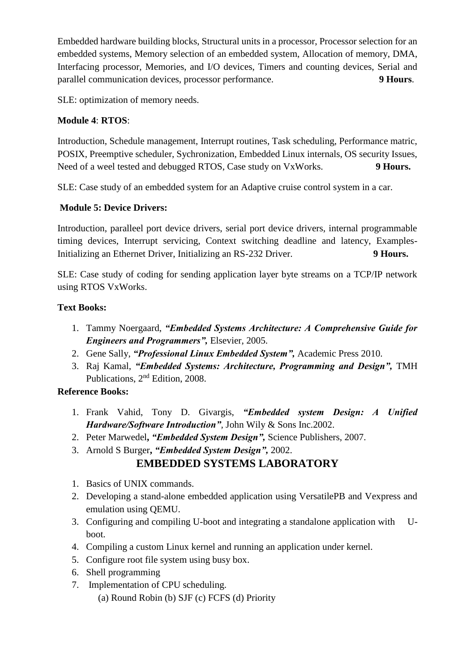Embedded hardware building blocks, Structural units in a processor, Processor selection for an embedded systems, Memory selection of an embedded system, Allocation of memory, DMA, Interfacing processor, Memories, and I/O devices, Timers and counting devices, Serial and parallel communication devices, processor performance. **9 Hours**.

SLE: optimization of memory needs.

# **Module 4**: **RTOS**:

Introduction, Schedule management, Interrupt routines, Task scheduling, Performance matric, POSIX, Preemptive scheduler, Sychronization, Embedded Linux internals, OS security Issues, Need of a weel tested and debugged RTOS, Case study on VxWorks. **9 Hours.**

SLE: Case study of an embedded system for an Adaptive cruise control system in a car.

# **Module 5: Device Drivers:**

Introduction, paralleel port device drivers, serial port device drivers, internal programmable timing devices, Interrupt servicing, Context switching deadline and latency, Examples-Initializing an Ethernet Driver, Initializing an RS-232 Driver. **9 Hours.**

SLE: Case study of coding for sending application layer byte streams on a TCP/IP network using RTOS VxWorks.

# **Text Books:**

- 1. Tammy Noergaard, *"Embedded Systems Architecture: A Comprehensive Guide for Engineers and Programmers",* Elsevier, 2005.
- 2. Gene Sally, *"Professional Linux Embedded System",* Academic Press 2010.
- 3. Raj Kamal, *"Embedded Systems: Architecture, Programming and Design",* TMH Publications, 2nd Edition, 2008.

# **Reference Books:**

- 1. Frank Vahid, Tony D. Givargis, *"Embedded system Design: A Unified Hardware/Software Introduction",* John Wily & Sons Inc.2002.
- 2. Peter Marwedel**,** *"Embedded System Design",* Science Publishers, 2007.
- 3. Arnold S Burger**,** *"Embedded System Design",* 2002.

# **EMBEDDED SYSTEMS LABORATORY**

- 1. Basics of UNIX commands.
- 2. Developing a stand-alone embedded application using VersatilePB and Vexpress and emulation using QEMU.
- 3. Configuring and compiling U-boot and integrating a standalone application with Uboot.
- 4. Compiling a custom Linux kernel and running an application under kernel.
- 5. Configure root file system using busy box.
- 6. Shell programming
- 7. Implementation of CPU scheduling.
	- (a) Round Robin (b) SJF (c) FCFS (d) Priority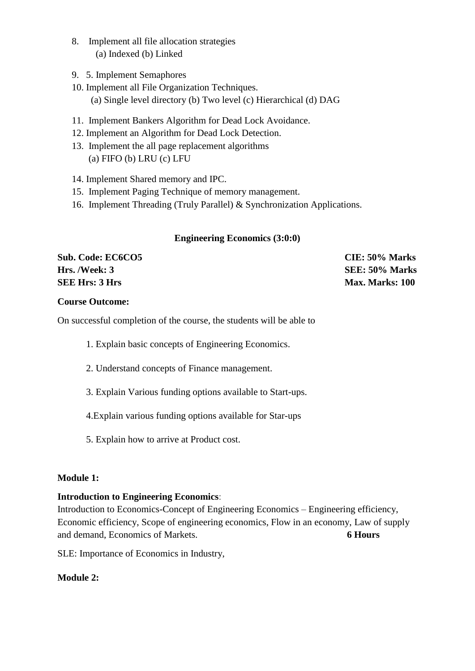- 8. Implement all file allocation strategies (a) Indexed (b) Linked
- 9. 5. Implement Semaphores
- 10. Implement all File Organization Techniques. (a) Single level directory (b) Two level (c) Hierarchical (d) DAG
- 11. Implement Bankers Algorithm for Dead Lock Avoidance.
- 12. Implement an Algorithm for Dead Lock Detection.
- 13. Implement the all page replacement algorithms (a) FIFO (b) LRU (c) LFU
- 14. Implement Shared memory and IPC.
- 15. Implement Paging Technique of memory management.
- 16. Implement Threading (Truly Parallel) & Synchronization Applications.

#### **Engineering Economics (3:0:0)**

**Sub. Code: EC6CO5 CIE: 50% Marks Hrs. /Week: 3 SEE: 50% Marks SEE Hrs: 3 Hrs** Max. Marks: 100

#### **Course Outcome:**

On successful completion of the course, the students will be able to

- 1. Explain basic concepts of Engineering Economics.
- 2. Understand concepts of Finance management.
- 3. Explain Various funding options available to Start-ups.
- 4.Explain various funding options available for Star-ups
- 5. Explain how to arrive at Product cost.

#### **Module 1:**

#### **Introduction to Engineering Economics**:

Introduction to Economics-Concept of Engineering Economics – Engineering efficiency, Economic efficiency, Scope of engineering economics, Flow in an economy, Law of supply and demand, Economics of Markets. **6 Hours**

SLE: Importance of Economics in Industry,

#### **Module 2:**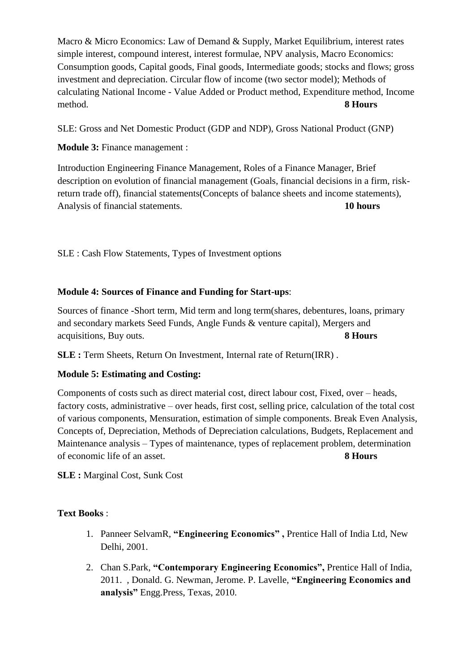Macro & Micro Economics: Law of Demand & Supply, Market Equilibrium, interest rates simple interest, compound interest, interest formulae, NPV analysis, Macro Economics: Consumption goods, Capital goods, Final goods, Intermediate goods; stocks and flows; gross investment and depreciation. Circular flow of income (two sector model); Methods of calculating National Income - Value Added or Product method, Expenditure method, Income method. **8 Hours**

SLE: Gross and Net Domestic Product (GDP and NDP), Gross National Product (GNP)

**Module 3:** Finance management :

Introduction Engineering Finance Management, Roles of a Finance Manager, Brief description on evolution of financial management (Goals, financial decisions in a firm, riskreturn trade off), financial statements(Concepts of balance sheets and income statements), Analysis of financial statements. **10 hours**

SLE : Cash Flow Statements, Types of Investment options

## **Module 4: Sources of Finance and Funding for Start-ups**:

Sources of finance -Short term, Mid term and long term(shares, debentures, loans, primary and secondary markets Seed Funds, Angle Funds & venture capital), Mergers and acquisitions, Buy outs. **8 Hours**

**SLE :** Term Sheets, Return On Investment, Internal rate of Return(IRR) .

# **Module 5: Estimating and Costing:**

Components of costs such as direct material cost, direct labour cost, Fixed, over – heads, factory costs, administrative – over heads, first cost, selling price, calculation of the total cost of various components, Mensuration, estimation of simple components. Break Even Analysis, Concepts of, Depreciation, Methods of Depreciation calculations, Budgets, Replacement and Maintenance analysis – Types of maintenance, types of replacement problem, determination of economic life of an asset. **8 Hours**

**SLE :** Marginal Cost, Sunk Cost

#### **Text Books** :

- 1. Panneer SelvamR, **"Engineering Economics" ,** Prentice Hall of India Ltd, New Delhi, 2001.
- 2. Chan S.Park, **"Contemporary Engineering Economics",** Prentice Hall of India, 2011. , Donald. G. Newman, Jerome. P. Lavelle, **"Engineering Economics and analysis"** Engg.Press, Texas, 2010.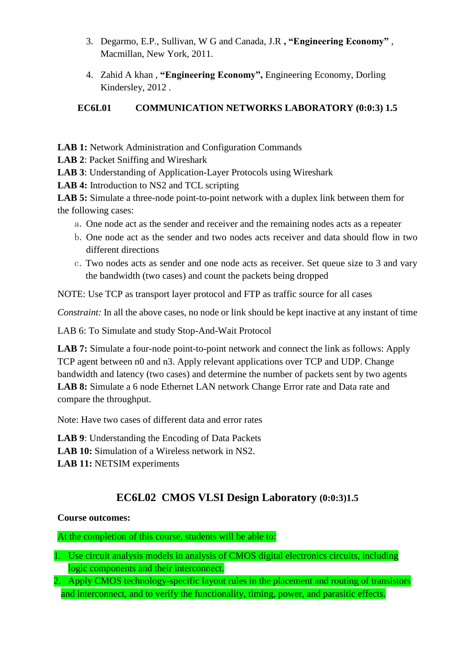- 3. Degarmo, E.P., Sullivan, W G and Canada, J.R **, "Engineering Economy"** , Macmillan, New York, 2011.
- 4. Zahid A khan , **"Engineering Economy",** Engineering Economy, Dorling Kindersley, 2012 .

# **EC6L01 COMMUNICATION NETWORKS LABORATORY (0:0:3) 1.5**

**LAB 1:** Network Administration and Configuration Commands

**LAB 2**: Packet Sniffing and Wireshark

**LAB 3**: Understanding of Application-Layer Protocols using Wireshark

**LAB 4:** Introduction to NS2 and TCL scripting

**LAB 5:** Simulate a three-node point-to-point network with a duplex link between them for the following cases:

- a. One node act as the sender and receiver and the remaining nodes acts as a repeater
- b. One node act as the sender and two nodes acts receiver and data should flow in two different directions
- c. Two nodes acts as sender and one node acts as receiver. Set queue size to 3 and vary the bandwidth (two cases) and count the packets being dropped

NOTE: Use TCP as transport layer protocol and FTP as traffic source for all cases

*Constraint:* In all the above cases, no node or link should be kept inactive at any instant of time

LAB 6: To Simulate and study Stop-And-Wait Protocol

**LAB 7:** Simulate a four-node point-to-point network and connect the link as follows: Apply TCP agent between n0 and n3. Apply relevant applications over TCP and UDP. Change bandwidth and latency (two cases) and determine the number of packets sent by two agents **LAB 8:** Simulate a 6 node Ethernet LAN network Change Error rate and Data rate and compare the throughput.

Note: Have two cases of different data and error rates

**LAB 9**: Understanding the Encoding of Data Packets

**LAB 10:** Simulation of a Wireless network in NS2.

**LAB 11:** NETSIM experiments

# **EC6L02 CMOS VLSI Design Laboratory (0:0:3)1.5**

# **Course outcomes:**

At the completion of this course, students will be able to:

- 1. Use circuit analysis models in analysis of CMOS digital electronics circuits, including logic components and their interconnect.
- 2. Apply CMOS technology-specific layout rules in the placement and routing of transistors and interconnect, and to verify the functionality, timing, power, and parasitic effects.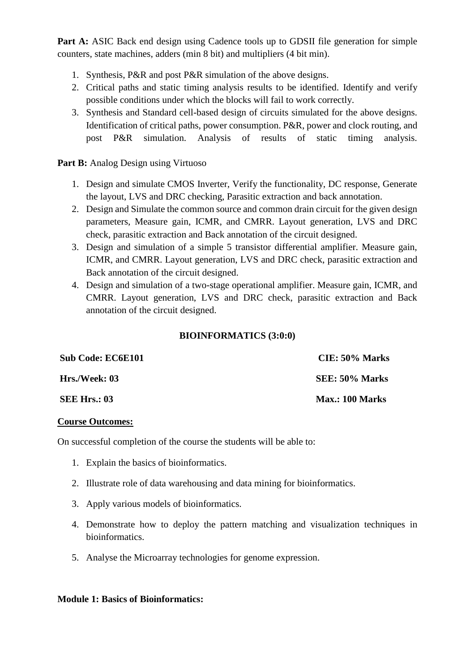**Part A:** ASIC Back end design using Cadence tools up to GDSII file generation for simple counters, state machines, adders (min 8 bit) and multipliers (4 bit min).

- 1. Synthesis, P&R and post P&R simulation of the above designs.
- 2. Critical paths and static timing analysis results to be identified. Identify and verify possible conditions under which the blocks will fail to work correctly.
- 3. Synthesis and Standard cell-based design of circuits simulated for the above designs. Identification of critical paths, power consumption. P&R, power and clock routing, and post P&R simulation. Analysis of results of static timing analysis.

**Part B:** Analog Design using Virtuoso

- 1. Design and simulate CMOS Inverter, Verify the functionality, DC response, Generate the layout, LVS and DRC checking, Parasitic extraction and back annotation.
- 2. Design and Simulate the common source and common drain circuit for the given design parameters, Measure gain, ICMR, and CMRR. Layout generation, LVS and DRC check, parasitic extraction and Back annotation of the circuit designed.
- 3. Design and simulation of a simple 5 transistor differential amplifier. Measure gain, ICMR, and CMRR. Layout generation, LVS and DRC check, parasitic extraction and Back annotation of the circuit designed.
- 4. Design and simulation of a two-stage operational amplifier. Measure gain, ICMR, and CMRR. Layout generation, LVS and DRC check, parasitic extraction and Back annotation of the circuit designed.

#### **BIOINFORMATICS (3:0:0)**

| <b>Sub Code: EC6E101</b> | $CIE: 50\%$ Marks |
|--------------------------|-------------------|
| Hrs./Week: 03            | SEE: 50% Marks    |
| <b>SEE Hrs.: 03</b>      | Max.: 100 Marks   |

#### **Course Outcomes:**

On successful completion of the course the students will be able to:

- 1. Explain the basics of bioinformatics.
- 2. Illustrate role of data warehousing and data mining for bioinformatics.
- 3. Apply various models of bioinformatics.
- 4. Demonstrate how to deploy the pattern matching and visualization techniques in bioinformatics.
- 5. Analyse the Microarray technologies for genome expression.

#### **Module 1: Basics of Bioinformatics:**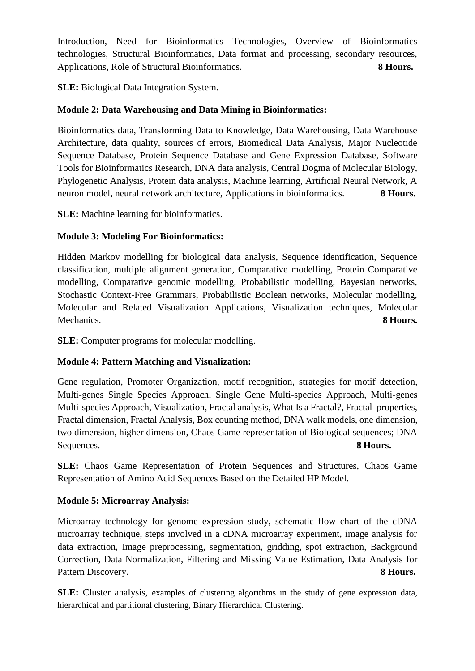Introduction, Need for Bioinformatics Technologies, Overview of Bioinformatics technologies, Structural Bioinformatics, Data format and processing, secondary resources, Applications, Role of Structural Bioinformatics. **8 Hours.**

**SLE:** Biological Data Integration System.

## **Module 2: Data Warehousing and Data Mining in Bioinformatics:**

Bioinformatics data, Transforming Data to Knowledge, Data Warehousing, Data Warehouse Architecture, data quality, sources of errors, Biomedical Data Analysis, Major Nucleotide Sequence Database, Protein Sequence Database and Gene Expression Database, Software Tools for Bioinformatics Research, DNA data analysis, Central Dogma of Molecular Biology, Phylogenetic Analysis, Protein data analysis, Machine learning, Artificial Neural Network, A neuron model, neural network architecture, Applications in bioinformatics. **8 Hours.**

**SLE:** Machine learning for bioinformatics.

## **Module 3: Modeling For Bioinformatics:**

Hidden Markov modelling for biological data analysis, Sequence identification, Sequence classification, multiple alignment generation, Comparative modelling, Protein Comparative modelling, Comparative genomic modelling, Probabilistic modelling, Bayesian networks, Stochastic Context-Free Grammars, Probabilistic Boolean networks, Molecular modelling, Molecular and Related Visualization Applications, Visualization techniques, Molecular Mechanics. **8 Hours.**

**SLE:** Computer programs for molecular modelling.

# **Module 4: Pattern Matching and Visualization:**

Gene regulation, Promoter Organization, motif recognition, strategies for motif detection, Multi-genes Single Species Approach, Single Gene Multi-species Approach, Multi-genes Multi-species Approach, Visualization, Fractal analysis, What Is a Fractal?, Fractal properties, Fractal dimension, Fractal Analysis, Box counting method, DNA walk models, one dimension, two dimension, higher dimension, Chaos Game representation of Biological sequences; DNA Sequences. **8 Hours.**

**SLE:** Chaos Game Representation of Protein Sequences and Structures, Chaos Game Representation of Amino Acid Sequences Based on the Detailed HP Model.

#### **Module 5: Microarray Analysis:**

Microarray technology for genome expression study, schematic flow chart of the cDNA microarray technique, steps involved in a cDNA microarray experiment, image analysis for data extraction, Image preprocessing, segmentation, gridding, spot extraction, Background Correction, Data Normalization, Filtering and Missing Value Estimation, Data Analysis for Pattern Discovery. **8 Hours. 8 Hours.** 

**SLE:** Cluster analysis, examples of clustering algorithms in the study of gene expression data, hierarchical and partitional clustering, Binary Hierarchical Clustering.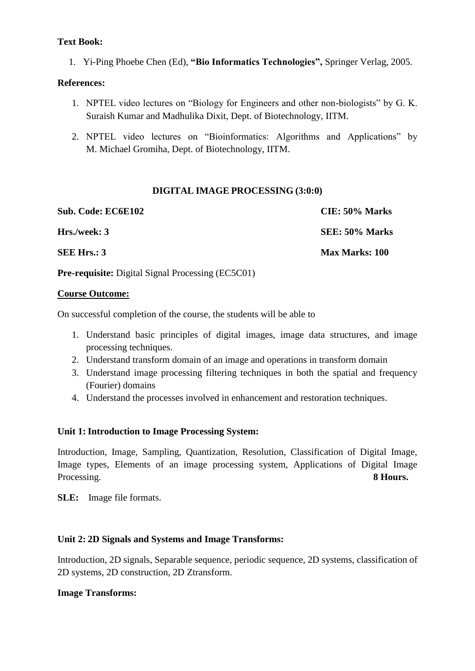#### **Text Book:**

1. Yi-Ping Phoebe Chen (Ed), **"Bio Informatics Technologies",** Springer Verlag, 2005.

#### **References:**

- 1. NPTEL video lectures on "Biology for Engineers and other non-biologists" by G. K. Suraish Kumar and Madhulika Dixit, Dept. of Biotechnology, IITM.
- 2. NPTEL video lectures on "Bioinformatics: Algorithms and Applications" by M. Michael Gromiha, Dept. of Biotechnology, IITM.

#### **DIGITAL IMAGE PROCESSING (3:0:0)**

| CIE: 50% Marks        |
|-----------------------|
| SEE: 50% Marks        |
| <b>Max Marks: 100</b> |
|                       |

**Pre-requisite:** Digital Signal Processing (EC5C01)

#### **Course Outcome:**

On successful completion of the course, the students will be able to

- 1. Understand basic principles of digital images, image data structures, and image processing techniques.
- 2. Understand transform domain of an image and operations in transform domain
- 3. Understand image processing filtering techniques in both the spatial and frequency (Fourier) domains
- 4. Understand the processes involved in enhancement and restoration techniques.

#### **Unit 1: Introduction to Image Processing System:**

Introduction, Image, Sampling, Quantization, Resolution, Classification of Digital Image, Image types, Elements of an image processing system, Applications of Digital Image Processing. **8 Hours. 8 Hours.** 

**SLE:** Image file formats.

#### **Unit 2: 2D Signals and Systems and Image Transforms:**

Introduction, 2D signals, Separable sequence, periodic sequence, 2D systems, classification of 2D systems, 2D construction, 2D Ztransform.

#### **Image Transforms:**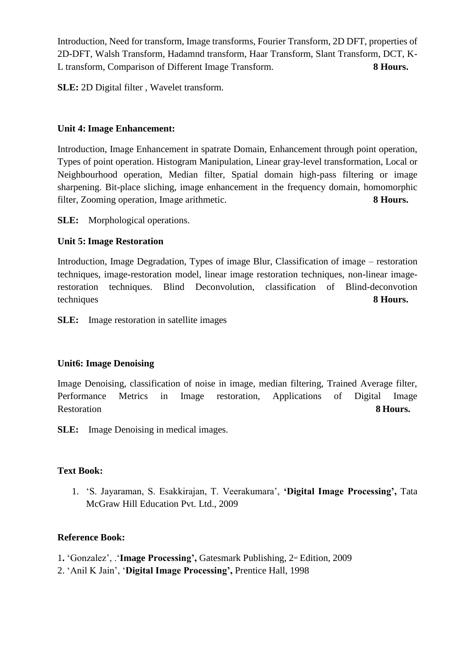Introduction, Need for transform, Image transforms, Fourier Transform, 2D DFT, properties of 2D-DFT, Walsh Transform, Hadamnd transform, Haar Transform, Slant Transform, DCT, K-L transform, Comparison of Different Image Transform. **8 Hours.**

**SLE:** 2D Digital filter , Wavelet transform.

#### **Unit 4: Image Enhancement:**

Introduction, Image Enhancement in spatrate Domain, Enhancement through point operation, Types of point operation. Histogram Manipulation, Linear gray-level transformation, Local or Neighbourhood operation, Median filter, Spatial domain high-pass filtering or image sharpening. Bit-place sliching, image enhancement in the frequency domain, homomorphic filter, Zooming operation, Image arithmetic. **8 Hours.**

**SLE:** Morphological operations.

# **Unit 5: Image Restoration**

Introduction, Image Degradation, Types of image Blur, Classification of image – restoration techniques, image-restoration model, linear image restoration techniques, non-linear imagerestoration techniques. Blind Deconvolution, classification of Blind-deconvotion techniques **8 Hours.**

**SLE:** Image restoration in satellite images

#### **Unit6: Image Denoising**

Image Denoising, classification of noise in image, median filtering, Trained Average filter, Performance Metrics in Image restoration, Applications of Digital Image Restoration **8 Hours.**

**SLE:** Image Denoising in medical images.

#### **Text Book:**

1. 'S. Jayaraman, S. Esakkirajan, T. Veerakumara', **'Digital Image Processing',** Tata McGraw Hill Education Pvt. Ltd., 2009

#### **Reference Book:**

1. 'Gonzalez', .'**Image Processing',** Gatesmark Publishing, 2<sup>nd</sup> Edition, 2009

2. 'Anil K Jain', '**Digital Image Processing',** Prentice Hall, 1998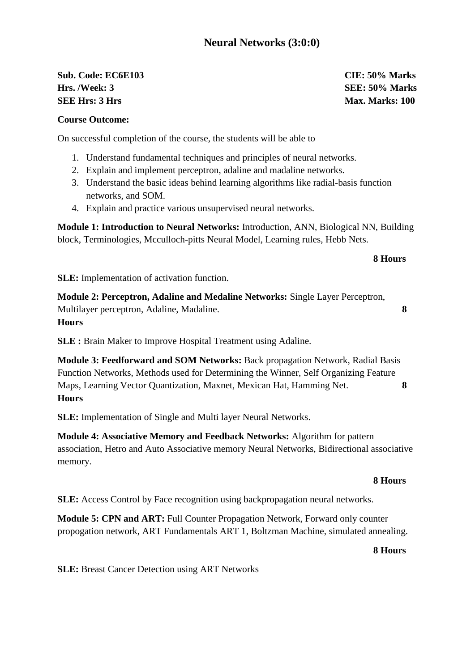# **Sub. Code: EC6E103 CIE: 50% Marks Hrs. /Week: 3 SEE: 50% Marks SEE Hrs: 3 Hrs Max. Marks: 100**

#### **Course Outcome:**

On successful completion of the course, the students will be able to

- 1. Understand fundamental techniques and principles of neural networks.
- 2. Explain and implement perceptron, adaline and madaline networks.
- 3. Understand the basic ideas behind learning algorithms like radial-basis function networks, and SOM.
- 4. Explain and practice various unsupervised neural networks.

**Module 1: Introduction to Neural Networks:** Introduction, ANN, Biological NN, Building block, Terminologies, Mcculloch-pitts Neural Model, Learning rules, Hebb Nets.

#### **8 Hours**

**SLE:** Implementation of activation function.

**Module 2: Perceptron, Adaline and Medaline Networks:** Single Layer Perceptron, Multilayer perceptron, Adaline, Madaline. **8 Hours**

**SLE :** Brain Maker to Improve Hospital Treatment using Adaline.

**Module 3: Feedforward and SOM Networks:** Back propagation Network, Radial Basis Function Networks, Methods used for Determining the Winner, Self Organizing Feature Maps, Learning Vector Quantization, Maxnet, Mexican Hat, Hamming Net. **8 Hours**

**SLE:** Implementation of Single and Multi layer Neural Networks.

**Module 4: Associative Memory and Feedback Networks:** Algorithm for pattern association, Hetro and Auto Associative memory Neural Networks, Bidirectional associative memory.

#### **8 Hours**

**SLE:** Access Control by Face recognition using backpropagation neural networks.

**Module 5: CPN and ART:** Full Counter Propagation Network, Forward only counter propogation network, ART Fundamentals ART 1, Boltzman Machine, simulated annealing.

#### **8 Hours**

**SLE:** Breast Cancer Detection using ART Networks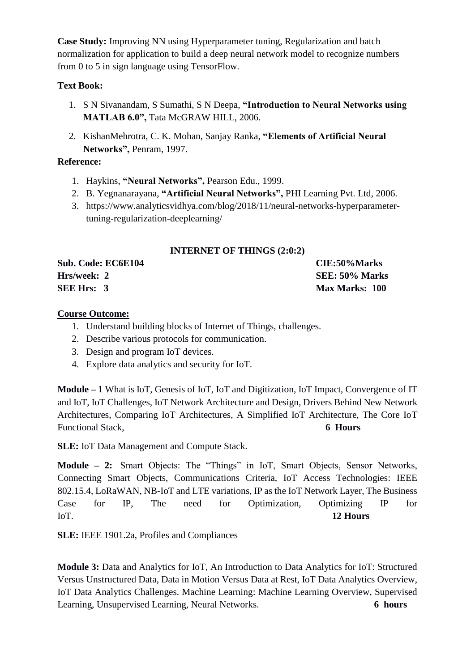**Case Study:** Improving NN using Hyperparameter tuning, Regularization and batch normalization for application to build a deep neural network model to recognize numbers from 0 to 5 in sign language using TensorFlow.

## **Text Book:**

- 1. S N Sivanandam, S Sumathi, S N Deepa, **"Introduction to Neural Networks using**  MATLAB 6.0", Tata McGRAW HILL, 2006.
- 2. KishanMehrotra, C. K. Mohan, Sanjay Ranka, **"Elements of Artificial Neural Networks",** Penram, 1997.

## **Reference:**

- 1. Haykins, **"Neural Networks",** Pearson Edu., 1999.
- 2. [B. Yegnanarayana,](https://www.google.com/search?biw=1280&bih=578&tbm=bks&tbm=bks&q=inauthor:%22B.+YEGNANARAYANA%22&sa=X&ved=0ahUKEwj9wYuQu-rpAhVBeH0KHTopCDEQ9AgISDAD) **"Artificial Neural Networks",** [PHI Learning Pvt. Ltd,](https://www.phindia.com/Books/BookDetail/OTc4LTgxLTIwMy0xMjUzLTE) 2006.
- 3. https://www.analyticsvidhya.com/blog/2018/11/neural-networks-hyperparametertuning-regularization-deeplearning/

## **INTERNET OF THINGS (2:0:2)**

| Sub. Code: EC6E104 | CIE:50%Marks          |
|--------------------|-----------------------|
| Hrs/week: 2        | SEE: 50% Marks        |
| SEE Hrs: 3         | <b>Max Marks: 100</b> |

#### **Course Outcome:**

- 1. Understand building blocks of Internet of Things, challenges.
- 2. Describe various protocols for communication.
- 3. Design and program IoT devices.
- 4. Explore data analytics and security for IoT.

**Module – 1** What is IoT, Genesis of IoT, IoT and Digitization, IoT Impact, Convergence of IT and IoT, IoT Challenges, IoT Network Architecture and Design, Drivers Behind New Network Architectures, Comparing IoT Architectures, A Simplified IoT Architecture, The Core IoT Functional Stack, **6 Hours**

**SLE:** IoT Data Management and Compute Stack.

**Module – 2:** Smart Objects: The "Things" in IoT, Smart Objects, Sensor Networks, Connecting Smart Objects, Communications Criteria, IoT Access Technologies: IEEE 802.15.4, LoRaWAN, NB-IoT and LTE variations, IP as the IoT Network Layer, The Business Case for IP, The need for Optimization, Optimizing IP for IoT. **12 Hours**

**SLE:** IEEE 1901.2a, Profiles and Compliances

**Module 3:** Data and Analytics for IoT, An Introduction to Data Analytics for IoT: Structured Versus Unstructured Data, Data in Motion Versus Data at Rest, IoT Data Analytics Overview, IoT Data Analytics Challenges. Machine Learning: Machine Learning Overview, Supervised Learning, Unsupervised Learning, Neural Networks. **6 hours**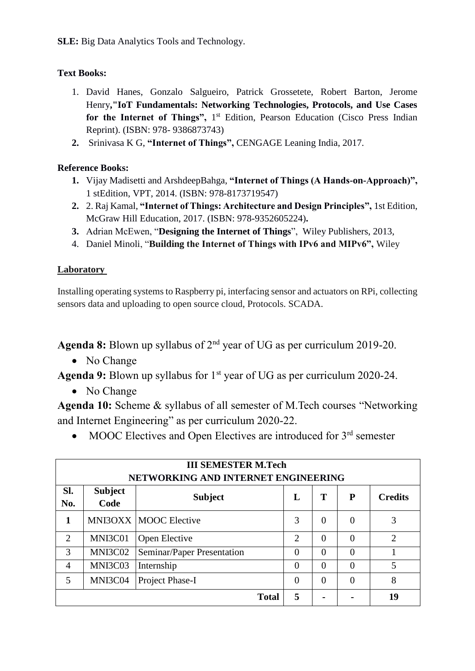**SLE:** Big Data Analytics Tools and Technology.

# **Text Books:**

- 1. David Hanes, Gonzalo Salgueiro, Patrick Grossetete, Robert Barton, Jerome Henry**,"IoT Fundamentals: Networking Technologies, Protocols, and Use Cases**  for the Internet of Things", 1<sup>st</sup> Edition, Pearson Education (Cisco Press Indian Reprint). (ISBN: 978- 9386873743)
- **2.** Srinivasa K G, **"Internet of Things",** CENGAGE Leaning India, 2017.

# **Reference Books:**

- **1.** Vijay Madisetti and ArshdeepBahga, **"Internet of Things (A Hands-on-Approach)",** 1 stEdition, VPT, 2014. (ISBN: 978-8173719547)
- **2.** 2. Raj Kamal, **"Internet of Things: Architecture and Design Principles",** 1st Edition, McGraw Hill Education, 2017. (ISBN: 978-9352605224)**.**
- **3.** Adrian McEwen, "**Designing the Internet of Things**", Wiley Publishers, 2013,
- 4. Daniel Minoli, "**Building the Internet of Things with IPv6 and MIPv6",** Wiley

# **Laboratory**

Installing operating systems to Raspberry pi, interfacing sensor and actuators on RPi, collecting sensors data and uploading to open source cloud, Protocols. SCADA.

**Agenda 8:** Blown up syllabus of 2nd year of UG as per curriculum 2019-20.

• No Change

**Agenda 9:** Blown up syllabus for 1<sup>st</sup> year of UG as per curriculum 2020-24.

• No Change

**Agenda 10:** Scheme & syllabus of all semester of M.Tech courses "Networking and Internet Engineering" as per curriculum 2020-22.

• MOOC Electives and Open Electives are introduced for 3<sup>rd</sup> semester

| <b>III SEMESTER M.Tech</b><br>NETWORKING AND INTERNET ENGINEERING |                        |                              |                |          |          |                |  |  |
|-------------------------------------------------------------------|------------------------|------------------------------|----------------|----------|----------|----------------|--|--|
| Sl.<br>No.                                                        | <b>Subject</b><br>Code | <b>Subject</b>               | L              | T        | P        | <b>Credits</b> |  |  |
| 1                                                                 |                        | <b>MNI3OXX MOOC Elective</b> | 3              | $\Omega$ | $\Omega$ | 3              |  |  |
| $\overline{2}$                                                    | MNI3C01                | <b>Open Elective</b>         | $\overline{2}$ | $\Omega$ | $\Omega$ | $\overline{2}$ |  |  |
| 3                                                                 | MNI3C02                | Seminar/Paper Presentation   | $\Omega$       | $\Omega$ | $\Omega$ |                |  |  |
| 4                                                                 | MNI3C03                | Internship                   | $\Omega$       | $\Omega$ | $\Omega$ | 5              |  |  |
| 5                                                                 | MNI3C04                | Project Phase-I              | $\theta$       | $\Omega$ | $\Omega$ | 8              |  |  |
|                                                                   |                        | <b>Total</b>                 | 5              |          |          | 19             |  |  |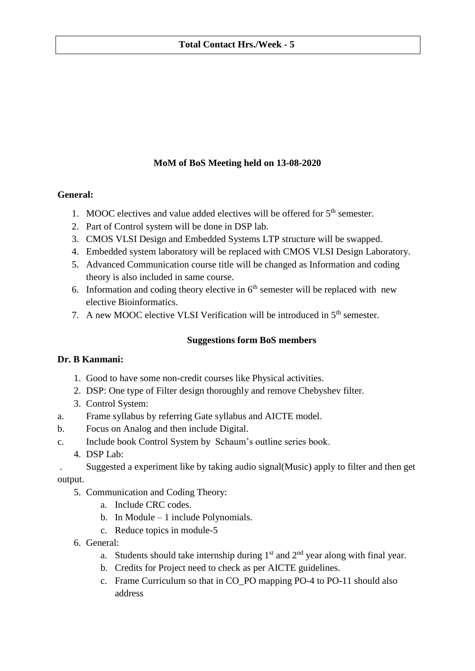# **MoM of BoS Meeting held on 13-08-2020**

## **General:**

- 1. MOOC electives and value added electives will be offered for  $5<sup>th</sup>$  semester.
- 2. Part of Control system will be done in DSP lab.
- 3. CMOS VLSI Design and Embedded Systems LTP structure will be swapped.
- 4. Embedded system laboratory will be replaced with CMOS VLSI Design Laboratory.
- 5. Advanced Communication course title will be changed as Information and coding theory is also included in same course.
- 6. Information and coding theory elective in  $6<sup>th</sup>$  semester will be replaced with new elective Bioinformatics.
- 7. A new MOOC elective VLSI Verification will be introduced in  $5<sup>th</sup>$  semester.

#### **Suggestions form BoS members**

#### **Dr. B Kanmani:**

- 1. Good to have some non-credit courses like Physical activities.
- 2. DSP: One type of Filter design thoroughly and remove Chebyshev filter.
- 3. Control System:
- a. Frame syllabus by referring Gate syllabus and AICTE model.
- b. Focus on Analog and then include Digital.
- c. Include book Control System by Schaum's outline series book.
	- 4. DSP Lab:

. Suggested a experiment like by taking audio signal(Music) apply to filter and then get output.

- 5. Communication and Coding Theory:
	- a. Include CRC codes.
	- b. In Module 1 include Polynomials.
	- c. Reduce topics in module-5
- 6. General:
	- a. Students should take internship during  $1<sup>st</sup>$  and  $2<sup>nd</sup>$  year along with final year.
	- b. Credits for Project need to check as per AICTE guidelines.
	- c. Frame Curriculum so that in CO\_PO mapping PO-4 to PO-11 should also address